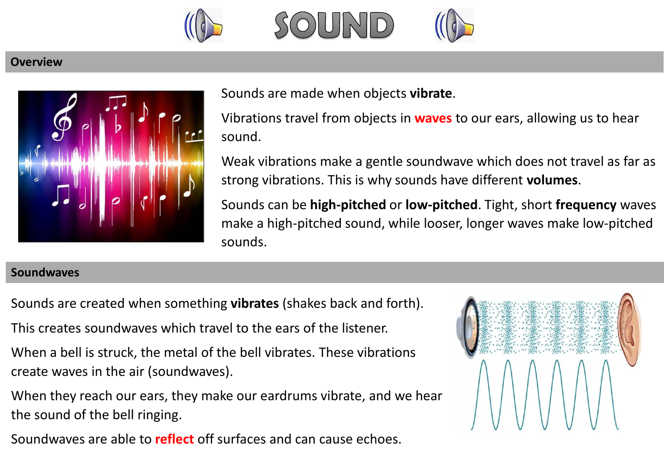

## **Overview**



Sounds are made when objects **vibrate**.

Vibrations travel from objects in **waves** to our ears, allowing us to hear sound.

Weak vibrations make a gentle soundwave which does not travel as far as strong vibrations. This is why sounds have different **volumes**.

Sounds can be **high-pitched** or **low-pitched**. Tight, short **frequency** waves make a high-pitched sound, while looser, longer waves make low-pitched sounds.

## **Soundwaves**

Sounds are created when something **vibrates** (shakes back and forth).

This creates soundwaves which travel to the ears of the listener.

When a bell is struck, the metal of the bell vibrates. These vibrations create waves in the air (soundwaves).

When they reach our ears, they make our eardrums vibrate, and we hear the sound of the bell ringing.

Soundwaves are able to **reflect** off surfaces and can cause echoes.